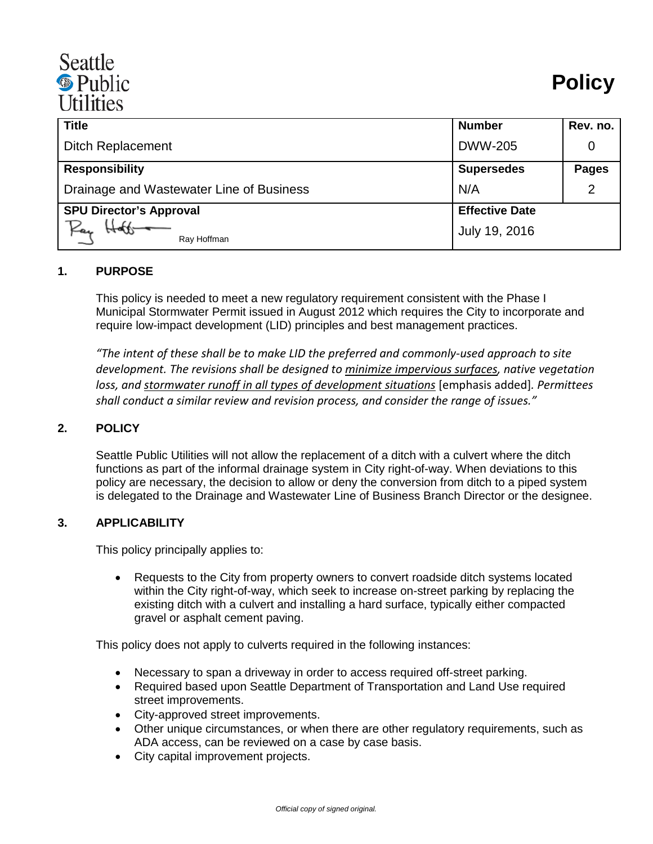# Seattle <sup><sup>®</sup> Public</sup> **Itilities**

| <b>Title</b>                             | <b>Number</b>         | Rev. no.     |
|------------------------------------------|-----------------------|--------------|
| <b>Ditch Replacement</b>                 | <b>DWW-205</b>        |              |
| <b>Responsibility</b>                    | <b>Supersedes</b>     | <b>Pages</b> |
| Drainage and Wastewater Line of Business | N/A                   |              |
| <b>SPU Director's Approval</b>           | <b>Effective Date</b> |              |
| Ray<br>Ray Hoffman                       | July 19, 2016         |              |

### **1. PURPOSE**

This policy is needed to meet a new regulatory requirement consistent with the Phase I Municipal Stormwater Permit issued in August 2012 which requires the City to incorporate and require low-impact development (LID) principles and best management practices.

*"The intent of these shall be to make LID the preferred and commonly-used approach to site development. The revisions shall be designed to minimize impervious surfaces, native vegetation loss, and stormwater runoff in all types of development situations* [emphasis added]*. Permittees shall conduct a similar review and revision process, and consider the range of issues."*

#### **2. POLICY**

Seattle Public Utilities will not allow the replacement of a ditch with a culvert where the ditch functions as part of the informal drainage system in City right-of-way. When deviations to this policy are necessary, the decision to allow or deny the conversion from ditch to a piped system is delegated to the Drainage and Wastewater Line of Business Branch Director or the designee.

#### **3. APPLICABILITY**

This policy principally applies to:

• Requests to the City from property owners to convert roadside ditch systems located within the City right-of-way, which seek to increase on-street parking by replacing the existing ditch with a culvert and installing a hard surface, typically either compacted gravel or asphalt cement paving.

This policy does not apply to culverts required in the following instances:

- Necessary to span a driveway in order to access required off-street parking.
- Required based upon Seattle Department of Transportation and Land Use required street improvements.
- City-approved street improvements.
- Other unique circumstances, or when there are other regulatory requirements, such as ADA access, can be reviewed on a case by case basis.
- City capital improvement projects.